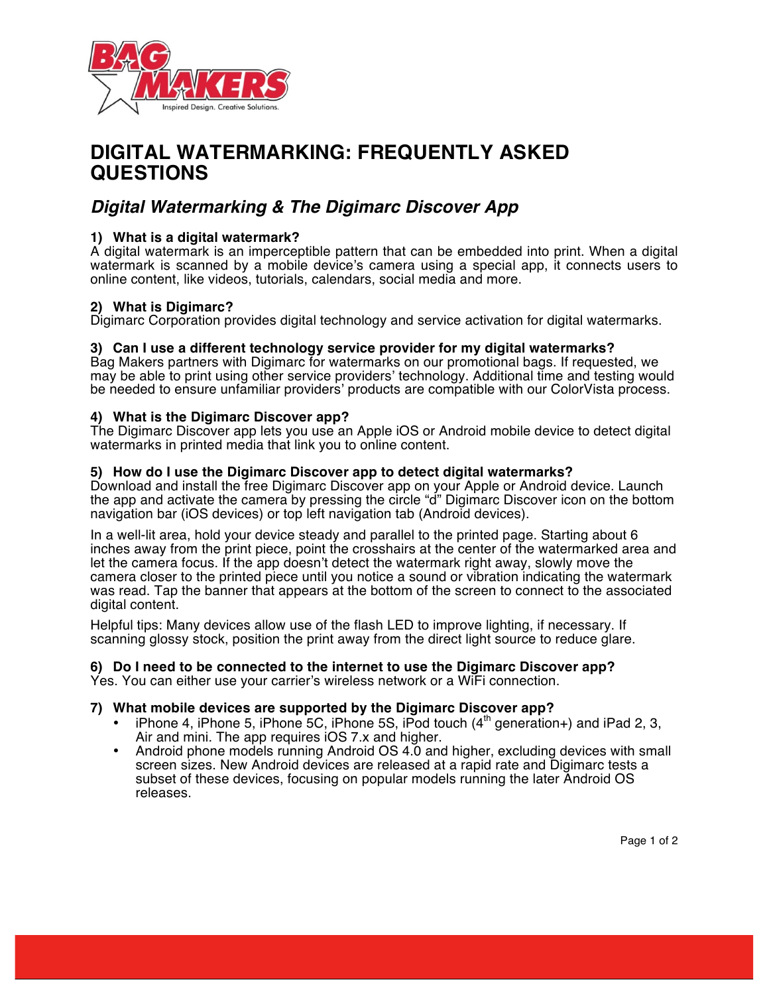

# **DIGITAL WATERMARKING: FREQUENTLY ASKED QUESTIONS**

# *Digital Watermarking & The Digimarc Discover App*

# **1) What is a digital watermark?**

A digital watermark is an imperceptible pattern that can be embedded into print. When a digital watermark is scanned by a mobile device's camera using a special app, it connects users to online content, like videos, tutorials, calendars, social media and more.

### **2) What is Digimarc?**

Digimarc Corporation provides digital technology and service activation for digital watermarks.

### **3) Can I use a different technology service provider for my digital watermarks?**

Bag Makers partners with Digimarc for watermarks on our promotional bags. If requested, we may be able to print using other service providers' technology. Additional time and testing would be needed to ensure unfamiliar providers' products are compatible with our ColorVista process.

### **4) What is the Digimarc Discover app?**

The Digimarc Discover app lets you use an Apple iOS or Android mobile device to detect digital watermarks in printed media that link you to online content.

### **5) How do I use the Digimarc Discover app to detect digital watermarks?**

Download and install the free Digimarc Discover app on your Apple or Android device. Launch the app and activate the camera by pressing the circle "d" Digimarc Discover icon on the bottom navigation bar (iOS devices) or top left navigation tab (Android devices).

In a well-lit area, hold your device steady and parallel to the printed page. Starting about 6 inches away from the print piece, point the crosshairs at the center of the watermarked area and let the camera focus. If the app doesn't detect the watermark right away, slowly move the camera closer to the printed piece until you notice a sound or vibration indicating the watermark was read. Tap the banner that appears at the bottom of the screen to connect to the associated digital content.

Helpful tips: Many devices allow use of the flash LED to improve lighting, if necessary. If scanning glossy stock, position the print away from the direct light source to reduce glare.

### **6) Do I need to be connected to the internet to use the Digimarc Discover app?**

Yes. You can either use your carrier's wireless network or a WiFi connection.

### **7) What mobile devices are supported by the Digimarc Discover app?**

- iPhone 4, iPhone 5, iPhone 5C, iPhone 5S, iPod touch  $(4<sup>th</sup>$  generation+) and iPad 2, 3, Air and mini. The app requires iOS 7.x and higher.
- Android phone models running Android OS 4.0 and higher, excluding devices with small screen sizes. New Android devices are released at a rapid rate and Digimarc tests a subset of these devices, focusing on popular models running the later Android OS releases.